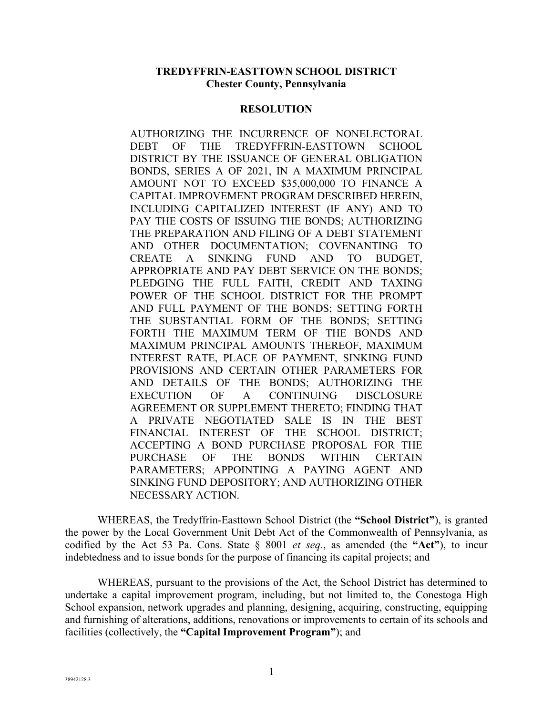#### **TREDYFFRIN-EASTTOWN SCHOOL DISTRICT Chester County, Pennsylvania**

#### **RESOLUTION**

AUTHORIZING THE INCURRENCE OF NONELECTORAL DEBT OF THE TREDYFFRIN-EASTTOWN SCHOOL DISTRICT BY THE ISSUANCE OF GENERAL OBLIGATION BONDS, SERIES A OF 2021, IN A MAXIMUM PRINCIPAL AMOUNT NOT TO EXCEED \$35,000,000 TO FINANCE A CAPITAL IMPROVEMENT PROGRAM DESCRIBED HEREIN, INCLUDING CAPITALIZED INTEREST (IF ANY) AND TO PAY THE COSTS OF ISSUING THE BONDS; AUTHORIZING THE PREPARATION AND FILING OF A DEBT STATEMENT AND OTHER DOCUMENTATION; COVENANTING TO CREATE A SINKING FUND AND TO BUDGET, APPROPRIATE AND PAY DEBT SERVICE ON THE BONDS; PLEDGING THE FULL FAITH, CREDIT AND TAXING POWER OF THE SCHOOL DISTRICT FOR THE PROMPT AND FULL PAYMENT OF THE BONDS; SETTING FORTH THE SUBSTANTIAL FORM OF THE BONDS; SETTING FORTH THE MAXIMUM TERM OF THE BONDS AND MAXIMUM PRINCIPAL AMOUNTS THEREOF, MAXIMUM INTEREST RATE, PLACE OF PAYMENT, SINKING FUND PROVISIONS AND CERTAIN OTHER PARAMETERS FOR AND DETAILS OF THE BONDS; AUTHORIZING THE EXECUTION OF A CONTINUING DISCLOSURE AGREEMENT OR SUPPLEMENT THERETO; FINDING THAT A PRIVATE NEGOTIATED SALE IS IN THE BEST FINANCIAL INTEREST OF THE SCHOOL DISTRICT; ACCEPTING A BOND PURCHASE PROPOSAL FOR THE PURCHASE OF THE BONDS WITHIN CERTAIN PARAMETERS; APPOINTING A PAYING AGENT AND SINKING FUND DEPOSITORY; AND AUTHORIZING OTHER NECESSARY ACTION.

 WHEREAS, the Tredyffrin-Easttown School District (the **"School District"**), is granted the power by the Local Government Unit Debt Act of the Commonwealth of Pennsylvania, as codified by the Act 53 Pa. Cons. State § 8001 *et seq.*, as amended (the **"Act"**), to incur indebtedness and to issue bonds for the purpose of financing its capital projects; and

 WHEREAS, pursuant to the provisions of the Act, the School District has determined to undertake a capital improvement program, including, but not limited to, the Conestoga High School expansion, network upgrades and planning, designing, acquiring, constructing, equipping and furnishing of alterations, additions, renovations or improvements to certain of its schools and facilities (collectively, the **"Capital Improvement Program"**); and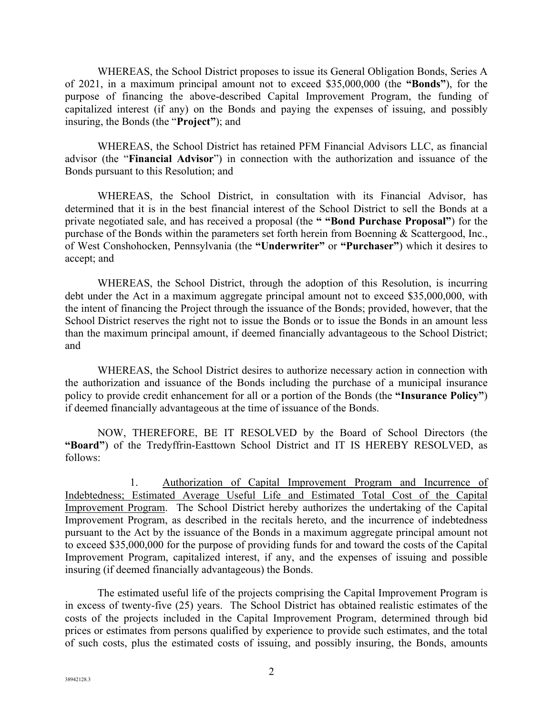WHEREAS, the School District proposes to issue its General Obligation Bonds, Series A of 2021, in a maximum principal amount not to exceed \$35,000,000 (the **"Bonds"**), for the purpose of financing the above-described Capital Improvement Program, the funding of capitalized interest (if any) on the Bonds and paying the expenses of issuing, and possibly insuring, the Bonds (the "**Project"**); and

 WHEREAS, the School District has retained PFM Financial Advisors LLC, as financial advisor (the "**Financial Advisor**") in connection with the authorization and issuance of the Bonds pursuant to this Resolution; and

WHEREAS, the School District, in consultation with its Financial Advisor, has determined that it is in the best financial interest of the School District to sell the Bonds at a private negotiated sale, and has received a proposal (the **" "Bond Purchase Proposal"**) for the purchase of the Bonds within the parameters set forth herein from Boenning & Scattergood, Inc., of West Conshohocken, Pennsylvania (the **"Underwriter"** or **"Purchaser"**) which it desires to accept; and

 WHEREAS, the School District, through the adoption of this Resolution, is incurring debt under the Act in a maximum aggregate principal amount not to exceed \$35,000,000, with the intent of financing the Project through the issuance of the Bonds; provided, however, that the School District reserves the right not to issue the Bonds or to issue the Bonds in an amount less than the maximum principal amount, if deemed financially advantageous to the School District; and

 WHEREAS, the School District desires to authorize necessary action in connection with the authorization and issuance of the Bonds including the purchase of a municipal insurance policy to provide credit enhancement for all or a portion of the Bonds (the **"Insurance Policy"**) if deemed financially advantageous at the time of issuance of the Bonds.

 NOW, THEREFORE, BE IT RESOLVED by the Board of School Directors (the **"Board"**) of the Tredyffrin-Easttown School District and IT IS HEREBY RESOLVED, as follows:

1. Authorization of Capital Improvement Program and Incurrence of Indebtedness; Estimated Average Useful Life and Estimated Total Cost of the Capital Improvement Program. The School District hereby authorizes the undertaking of the Capital Improvement Program, as described in the recitals hereto, and the incurrence of indebtedness pursuant to the Act by the issuance of the Bonds in a maximum aggregate principal amount not to exceed \$35,000,000 for the purpose of providing funds for and toward the costs of the Capital Improvement Program, capitalized interest, if any, and the expenses of issuing and possible insuring (if deemed financially advantageous) the Bonds.

 The estimated useful life of the projects comprising the Capital Improvement Program is in excess of twenty-five (25) years. The School District has obtained realistic estimates of the costs of the projects included in the Capital Improvement Program, determined through bid prices or estimates from persons qualified by experience to provide such estimates, and the total of such costs, plus the estimated costs of issuing, and possibly insuring, the Bonds, amounts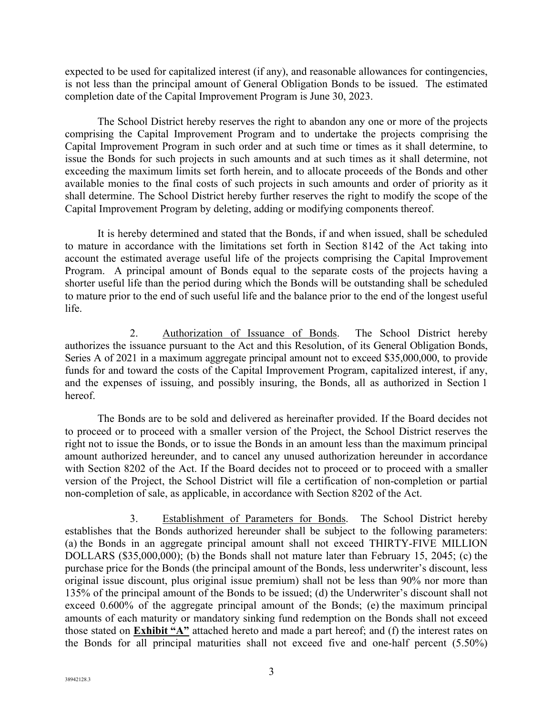expected to be used for capitalized interest (if any), and reasonable allowances for contingencies, is not less than the principal amount of General Obligation Bonds to be issued. The estimated completion date of the Capital Improvement Program is June 30, 2023.

 The School District hereby reserves the right to abandon any one or more of the projects comprising the Capital Improvement Program and to undertake the projects comprising the Capital Improvement Program in such order and at such time or times as it shall determine, to issue the Bonds for such projects in such amounts and at such times as it shall determine, not exceeding the maximum limits set forth herein, and to allocate proceeds of the Bonds and other available monies to the final costs of such projects in such amounts and order of priority as it shall determine. The School District hereby further reserves the right to modify the scope of the Capital Improvement Program by deleting, adding or modifying components thereof.

 It is hereby determined and stated that the Bonds, if and when issued, shall be scheduled to mature in accordance with the limitations set forth in Section 8142 of the Act taking into account the estimated average useful life of the projects comprising the Capital Improvement Program. A principal amount of Bonds equal to the separate costs of the projects having a shorter useful life than the period during which the Bonds will be outstanding shall be scheduled to mature prior to the end of such useful life and the balance prior to the end of the longest useful life.

2. Authorization of Issuance of Bonds. The School District hereby authorizes the issuance pursuant to the Act and this Resolution, of its General Obligation Bonds, Series A of 2021 in a maximum aggregate principal amount not to exceed \$35,000,000, to provide funds for and toward the costs of the Capital Improvement Program, capitalized interest, if any, and the expenses of issuing, and possibly insuring, the Bonds, all as authorized in Section 1 hereof.

 The Bonds are to be sold and delivered as hereinafter provided. If the Board decides not to proceed or to proceed with a smaller version of the Project, the School District reserves the right not to issue the Bonds, or to issue the Bonds in an amount less than the maximum principal amount authorized hereunder, and to cancel any unused authorization hereunder in accordance with Section 8202 of the Act. If the Board decides not to proceed or to proceed with a smaller version of the Project, the School District will file a certification of non-completion or partial non-completion of sale, as applicable, in accordance with Section 8202 of the Act.

3. Establishment of Parameters for Bonds. The School District hereby establishes that the Bonds authorized hereunder shall be subject to the following parameters: (a) the Bonds in an aggregate principal amount shall not exceed THIRTY-FIVE MILLION DOLLARS (\$35,000,000); (b) the Bonds shall not mature later than February 15, 2045; (c) the purchase price for the Bonds (the principal amount of the Bonds, less underwriter's discount, less original issue discount, plus original issue premium) shall not be less than 90% nor more than 135% of the principal amount of the Bonds to be issued; (d) the Underwriter's discount shall not exceed 0.600% of the aggregate principal amount of the Bonds; (e) the maximum principal amounts of each maturity or mandatory sinking fund redemption on the Bonds shall not exceed those stated on **Exhibit "A"** attached hereto and made a part hereof; and (f) the interest rates on the Bonds for all principal maturities shall not exceed five and one-half percent (5.50%)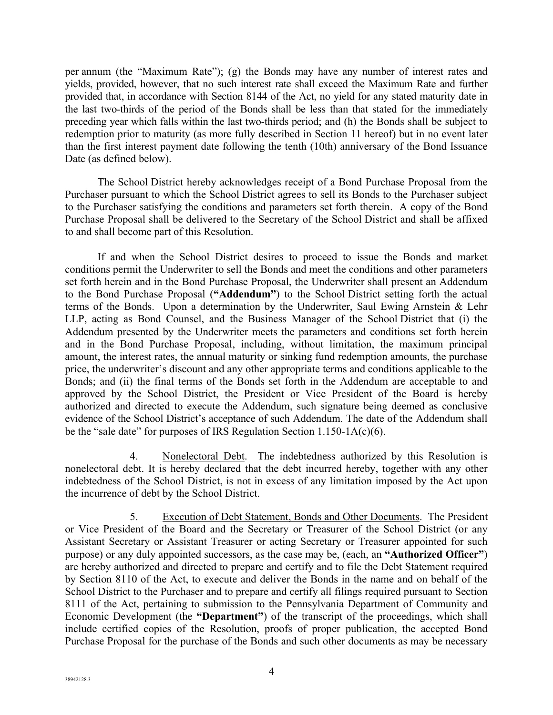per annum (the "Maximum Rate"); (g) the Bonds may have any number of interest rates and yields, provided, however, that no such interest rate shall exceed the Maximum Rate and further provided that, in accordance with Section 8144 of the Act, no yield for any stated maturity date in the last two-thirds of the period of the Bonds shall be less than that stated for the immediately preceding year which falls within the last two-thirds period; and (h) the Bonds shall be subject to redemption prior to maturity (as more fully described in Section 11 hereof) but in no event later than the first interest payment date following the tenth (10th) anniversary of the Bond Issuance Date (as defined below).

The School District hereby acknowledges receipt of a Bond Purchase Proposal from the Purchaser pursuant to which the School District agrees to sell its Bonds to the Purchaser subject to the Purchaser satisfying the conditions and parameters set forth therein. A copy of the Bond Purchase Proposal shall be delivered to the Secretary of the School District and shall be affixed to and shall become part of this Resolution.

If and when the School District desires to proceed to issue the Bonds and market conditions permit the Underwriter to sell the Bonds and meet the conditions and other parameters set forth herein and in the Bond Purchase Proposal, the Underwriter shall present an Addendum to the Bond Purchase Proposal (**"Addendum"**) to the School District setting forth the actual terms of the Bonds. Upon a determination by the Underwriter, Saul Ewing Arnstein & Lehr LLP, acting as Bond Counsel, and the Business Manager of the School District that (i) the Addendum presented by the Underwriter meets the parameters and conditions set forth herein and in the Bond Purchase Proposal, including, without limitation, the maximum principal amount, the interest rates, the annual maturity or sinking fund redemption amounts, the purchase price, the underwriter's discount and any other appropriate terms and conditions applicable to the Bonds; and (ii) the final terms of the Bonds set forth in the Addendum are acceptable to and approved by the School District, the President or Vice President of the Board is hereby authorized and directed to execute the Addendum, such signature being deemed as conclusive evidence of the School District's acceptance of such Addendum. The date of the Addendum shall be the "sale date" for purposes of IRS Regulation Section  $1.150-1A(c)(6)$ .

4. Nonelectoral Debt. The indebtedness authorized by this Resolution is nonelectoral debt. It is hereby declared that the debt incurred hereby, together with any other indebtedness of the School District, is not in excess of any limitation imposed by the Act upon the incurrence of debt by the School District.

5. Execution of Debt Statement, Bonds and Other Documents. The President or Vice President of the Board and the Secretary or Treasurer of the School District (or any Assistant Secretary or Assistant Treasurer or acting Secretary or Treasurer appointed for such purpose) or any duly appointed successors, as the case may be, (each, an **"Authorized Officer"**) are hereby authorized and directed to prepare and certify and to file the Debt Statement required by Section 8110 of the Act, to execute and deliver the Bonds in the name and on behalf of the School District to the Purchaser and to prepare and certify all filings required pursuant to Section 8111 of the Act, pertaining to submission to the Pennsylvania Department of Community and Economic Development (the **"Department"**) of the transcript of the proceedings, which shall include certified copies of the Resolution, proofs of proper publication, the accepted Bond Purchase Proposal for the purchase of the Bonds and such other documents as may be necessary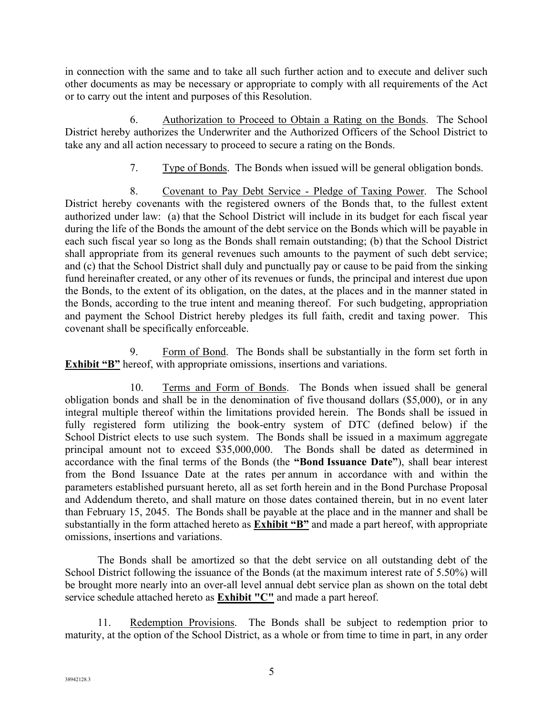in connection with the same and to take all such further action and to execute and deliver such other documents as may be necessary or appropriate to comply with all requirements of the Act or to carry out the intent and purposes of this Resolution.

6. Authorization to Proceed to Obtain a Rating on the Bonds. The School District hereby authorizes the Underwriter and the Authorized Officers of the School District to take any and all action necessary to proceed to secure a rating on the Bonds.

7. Type of Bonds. The Bonds when issued will be general obligation bonds.

8. Covenant to Pay Debt Service - Pledge of Taxing Power. The School District hereby covenants with the registered owners of the Bonds that, to the fullest extent authorized under law: (a) that the School District will include in its budget for each fiscal year during the life of the Bonds the amount of the debt service on the Bonds which will be payable in each such fiscal year so long as the Bonds shall remain outstanding; (b) that the School District shall appropriate from its general revenues such amounts to the payment of such debt service; and (c) that the School District shall duly and punctually pay or cause to be paid from the sinking fund hereinafter created, or any other of its revenues or funds, the principal and interest due upon the Bonds, to the extent of its obligation, on the dates, at the places and in the manner stated in the Bonds, according to the true intent and meaning thereof. For such budgeting, appropriation and payment the School District hereby pledges its full faith, credit and taxing power. This covenant shall be specifically enforceable.

9. Form of Bond. The Bonds shall be substantially in the form set forth in **Exhibit "B"** hereof, with appropriate omissions, insertions and variations.

10. Terms and Form of Bonds. The Bonds when issued shall be general obligation bonds and shall be in the denomination of five thousand dollars (\$5,000), or in any integral multiple thereof within the limitations provided herein. The Bonds shall be issued in fully registered form utilizing the book-entry system of DTC (defined below) if the School District elects to use such system. The Bonds shall be issued in a maximum aggregate principal amount not to exceed \$35,000,000. The Bonds shall be dated as determined in accordance with the final terms of the Bonds (the **"Bond Issuance Date"**), shall bear interest from the Bond Issuance Date at the rates per annum in accordance with and within the parameters established pursuant hereto, all as set forth herein and in the Bond Purchase Proposal and Addendum thereto, and shall mature on those dates contained therein, but in no event later than February 15, 2045. The Bonds shall be payable at the place and in the manner and shall be substantially in the form attached hereto as **Exhibit "B"** and made a part hereof, with appropriate omissions, insertions and variations.

 The Bonds shall be amortized so that the debt service on all outstanding debt of the School District following the issuance of the Bonds (at the maximum interest rate of 5.50%) will be brought more nearly into an over-all level annual debt service plan as shown on the total debt service schedule attached hereto as **Exhibit "C"** and made a part hereof.

11. Redemption Provisions. The Bonds shall be subject to redemption prior to maturity, at the option of the School District, as a whole or from time to time in part, in any order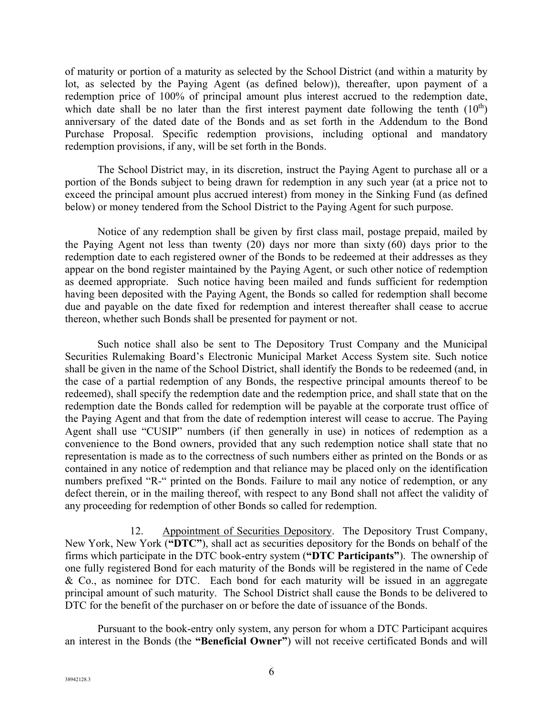of maturity or portion of a maturity as selected by the School District (and within a maturity by lot, as selected by the Paying Agent (as defined below)), thereafter, upon payment of a redemption price of 100% of principal amount plus interest accrued to the redemption date, which date shall be no later than the first interest payment date following the tenth  $(10<sup>th</sup>)$ anniversary of the dated date of the Bonds and as set forth in the Addendum to the Bond Purchase Proposal. Specific redemption provisions, including optional and mandatory redemption provisions, if any, will be set forth in the Bonds.

 The School District may, in its discretion, instruct the Paying Agent to purchase all or a portion of the Bonds subject to being drawn for redemption in any such year (at a price not to exceed the principal amount plus accrued interest) from money in the Sinking Fund (as defined below) or money tendered from the School District to the Paying Agent for such purpose.

 Notice of any redemption shall be given by first class mail, postage prepaid, mailed by the Paying Agent not less than twenty (20) days nor more than sixty (60) days prior to the redemption date to each registered owner of the Bonds to be redeemed at their addresses as they appear on the bond register maintained by the Paying Agent, or such other notice of redemption as deemed appropriate. Such notice having been mailed and funds sufficient for redemption having been deposited with the Paying Agent, the Bonds so called for redemption shall become due and payable on the date fixed for redemption and interest thereafter shall cease to accrue thereon, whether such Bonds shall be presented for payment or not.

 Such notice shall also be sent to The Depository Trust Company and the Municipal Securities Rulemaking Board's Electronic Municipal Market Access System site. Such notice shall be given in the name of the School District, shall identify the Bonds to be redeemed (and, in the case of a partial redemption of any Bonds, the respective principal amounts thereof to be redeemed), shall specify the redemption date and the redemption price, and shall state that on the redemption date the Bonds called for redemption will be payable at the corporate trust office of the Paying Agent and that from the date of redemption interest will cease to accrue. The Paying Agent shall use "CUSIP" numbers (if then generally in use) in notices of redemption as a convenience to the Bond owners, provided that any such redemption notice shall state that no representation is made as to the correctness of such numbers either as printed on the Bonds or as contained in any notice of redemption and that reliance may be placed only on the identification numbers prefixed "R-" printed on the Bonds. Failure to mail any notice of redemption, or any defect therein, or in the mailing thereof, with respect to any Bond shall not affect the validity of any proceeding for redemption of other Bonds so called for redemption.

12. Appointment of Securities Depository. The Depository Trust Company, New York, New York (**"DTC"**), shall act as securities depository for the Bonds on behalf of the firms which participate in the DTC book-entry system (**"DTC Participants"**). The ownership of one fully registered Bond for each maturity of the Bonds will be registered in the name of Cede & Co., as nominee for DTC. Each bond for each maturity will be issued in an aggregate principal amount of such maturity. The School District shall cause the Bonds to be delivered to DTC for the benefit of the purchaser on or before the date of issuance of the Bonds.

 Pursuant to the book-entry only system, any person for whom a DTC Participant acquires an interest in the Bonds (the **"Beneficial Owner"**) will not receive certificated Bonds and will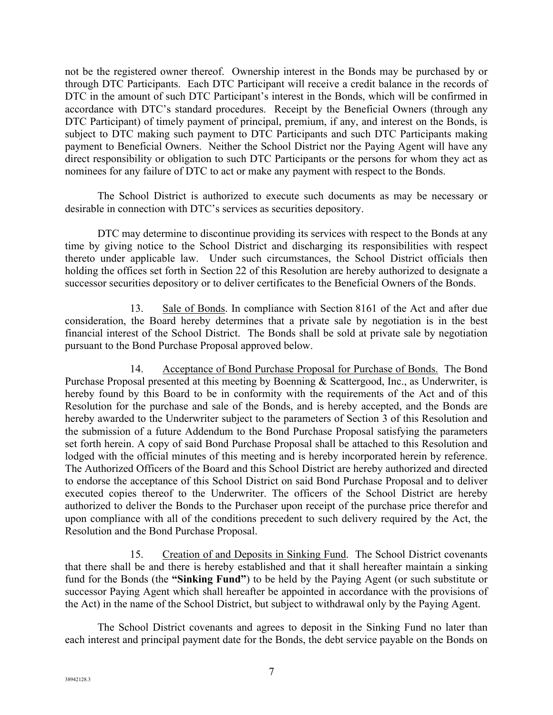not be the registered owner thereof. Ownership interest in the Bonds may be purchased by or through DTC Participants. Each DTC Participant will receive a credit balance in the records of DTC in the amount of such DTC Participant's interest in the Bonds, which will be confirmed in accordance with DTC's standard procedures. Receipt by the Beneficial Owners (through any DTC Participant) of timely payment of principal, premium, if any, and interest on the Bonds, is subject to DTC making such payment to DTC Participants and such DTC Participants making payment to Beneficial Owners. Neither the School District nor the Paying Agent will have any direct responsibility or obligation to such DTC Participants or the persons for whom they act as nominees for any failure of DTC to act or make any payment with respect to the Bonds.

 The School District is authorized to execute such documents as may be necessary or desirable in connection with DTC's services as securities depository.

 DTC may determine to discontinue providing its services with respect to the Bonds at any time by giving notice to the School District and discharging its responsibilities with respect thereto under applicable law. Under such circumstances, the School District officials then holding the offices set forth in Section 22 of this Resolution are hereby authorized to designate a successor securities depository or to deliver certificates to the Beneficial Owners of the Bonds.

13. Sale of Bonds. In compliance with Section 8161 of the Act and after due consideration, the Board hereby determines that a private sale by negotiation is in the best financial interest of the School District. The Bonds shall be sold at private sale by negotiation pursuant to the Bond Purchase Proposal approved below.

14. Acceptance of Bond Purchase Proposal for Purchase of Bonds. The Bond Purchase Proposal presented at this meeting by Boenning & Scattergood, Inc., as Underwriter, is hereby found by this Board to be in conformity with the requirements of the Act and of this Resolution for the purchase and sale of the Bonds, and is hereby accepted, and the Bonds are hereby awarded to the Underwriter subject to the parameters of Section 3 of this Resolution and the submission of a future Addendum to the Bond Purchase Proposal satisfying the parameters set forth herein. A copy of said Bond Purchase Proposal shall be attached to this Resolution and lodged with the official minutes of this meeting and is hereby incorporated herein by reference. The Authorized Officers of the Board and this School District are hereby authorized and directed to endorse the acceptance of this School District on said Bond Purchase Proposal and to deliver executed copies thereof to the Underwriter. The officers of the School District are hereby authorized to deliver the Bonds to the Purchaser upon receipt of the purchase price therefor and upon compliance with all of the conditions precedent to such delivery required by the Act, the Resolution and the Bond Purchase Proposal.

15. Creation of and Deposits in Sinking Fund. The School District covenants that there shall be and there is hereby established and that it shall hereafter maintain a sinking fund for the Bonds (the **"Sinking Fund"**) to be held by the Paying Agent (or such substitute or successor Paying Agent which shall hereafter be appointed in accordance with the provisions of the Act) in the name of the School District, but subject to withdrawal only by the Paying Agent.

 The School District covenants and agrees to deposit in the Sinking Fund no later than each interest and principal payment date for the Bonds, the debt service payable on the Bonds on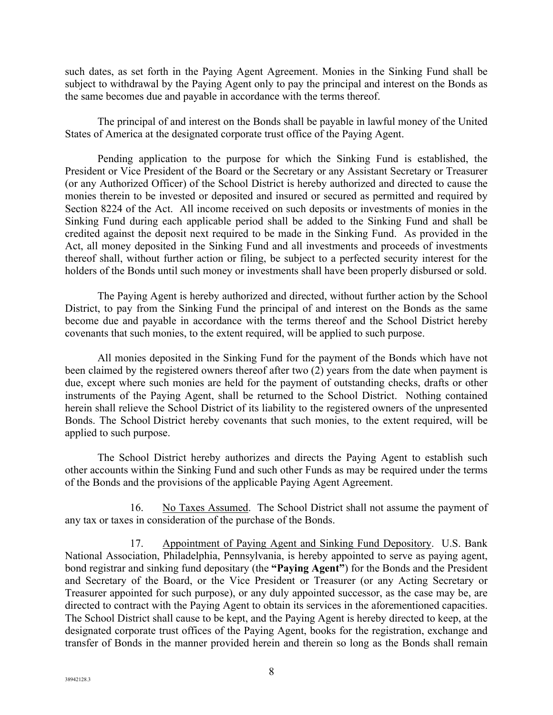such dates, as set forth in the Paying Agent Agreement. Monies in the Sinking Fund shall be subject to withdrawal by the Paying Agent only to pay the principal and interest on the Bonds as the same becomes due and payable in accordance with the terms thereof.

 The principal of and interest on the Bonds shall be payable in lawful money of the United States of America at the designated corporate trust office of the Paying Agent.

 Pending application to the purpose for which the Sinking Fund is established, the President or Vice President of the Board or the Secretary or any Assistant Secretary or Treasurer (or any Authorized Officer) of the School District is hereby authorized and directed to cause the monies therein to be invested or deposited and insured or secured as permitted and required by Section 8224 of the Act. All income received on such deposits or investments of monies in the Sinking Fund during each applicable period shall be added to the Sinking Fund and shall be credited against the deposit next required to be made in the Sinking Fund. As provided in the Act, all money deposited in the Sinking Fund and all investments and proceeds of investments thereof shall, without further action or filing, be subject to a perfected security interest for the holders of the Bonds until such money or investments shall have been properly disbursed or sold.

 The Paying Agent is hereby authorized and directed, without further action by the School District, to pay from the Sinking Fund the principal of and interest on the Bonds as the same become due and payable in accordance with the terms thereof and the School District hereby covenants that such monies, to the extent required, will be applied to such purpose.

 All monies deposited in the Sinking Fund for the payment of the Bonds which have not been claimed by the registered owners thereof after two (2) years from the date when payment is due, except where such monies are held for the payment of outstanding checks, drafts or other instruments of the Paying Agent, shall be returned to the School District. Nothing contained herein shall relieve the School District of its liability to the registered owners of the unpresented Bonds. The School District hereby covenants that such monies, to the extent required, will be applied to such purpose.

 The School District hereby authorizes and directs the Paying Agent to establish such other accounts within the Sinking Fund and such other Funds as may be required under the terms of the Bonds and the provisions of the applicable Paying Agent Agreement.

16. No Taxes Assumed. The School District shall not assume the payment of any tax or taxes in consideration of the purchase of the Bonds.

17. Appointment of Paying Agent and Sinking Fund Depository. U.S. Bank National Association, Philadelphia, Pennsylvania, is hereby appointed to serve as paying agent, bond registrar and sinking fund depositary (the **"Paying Agent"**) for the Bonds and the President and Secretary of the Board, or the Vice President or Treasurer (or any Acting Secretary or Treasurer appointed for such purpose), or any duly appointed successor, as the case may be, are directed to contract with the Paying Agent to obtain its services in the aforementioned capacities. The School District shall cause to be kept, and the Paying Agent is hereby directed to keep, at the designated corporate trust offices of the Paying Agent, books for the registration, exchange and transfer of Bonds in the manner provided herein and therein so long as the Bonds shall remain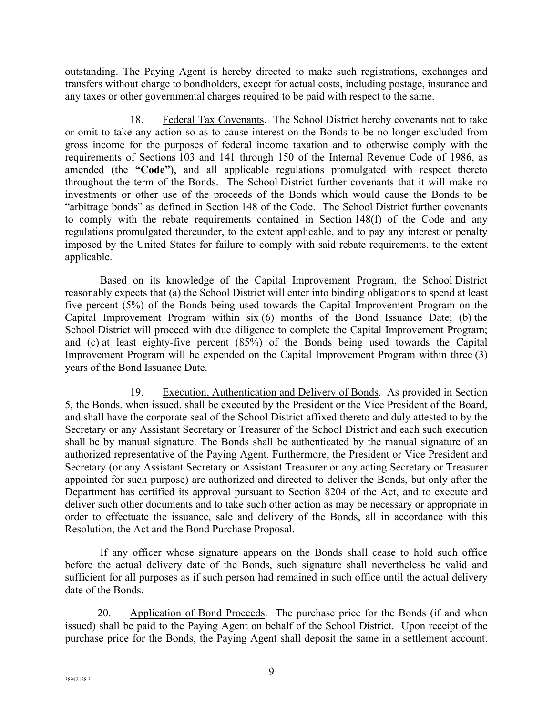outstanding. The Paying Agent is hereby directed to make such registrations, exchanges and transfers without charge to bondholders, except for actual costs, including postage, insurance and any taxes or other governmental charges required to be paid with respect to the same.

18. Federal Tax Covenants. The School District hereby covenants not to take or omit to take any action so as to cause interest on the Bonds to be no longer excluded from gross income for the purposes of federal income taxation and to otherwise comply with the requirements of Sections 103 and 141 through 150 of the Internal Revenue Code of 1986, as amended (the **"Code"**), and all applicable regulations promulgated with respect thereto throughout the term of the Bonds. The School District further covenants that it will make no investments or other use of the proceeds of the Bonds which would cause the Bonds to be "arbitrage bonds" as defined in Section 148 of the Code. The School District further covenants to comply with the rebate requirements contained in Section 148(f) of the Code and any regulations promulgated thereunder, to the extent applicable, and to pay any interest or penalty imposed by the United States for failure to comply with said rebate requirements, to the extent applicable.

 Based on its knowledge of the Capital Improvement Program, the School District reasonably expects that (a) the School District will enter into binding obligations to spend at least five percent (5%) of the Bonds being used towards the Capital Improvement Program on the Capital Improvement Program within six (6) months of the Bond Issuance Date; (b) the School District will proceed with due diligence to complete the Capital Improvement Program; and (c) at least eighty-five percent (85%) of the Bonds being used towards the Capital Improvement Program will be expended on the Capital Improvement Program within three (3) years of the Bond Issuance Date.

19. Execution, Authentication and Delivery of Bonds. As provided in Section 5, the Bonds, when issued, shall be executed by the President or the Vice President of the Board, and shall have the corporate seal of the School District affixed thereto and duly attested to by the Secretary or any Assistant Secretary or Treasurer of the School District and each such execution shall be by manual signature. The Bonds shall be authenticated by the manual signature of an authorized representative of the Paying Agent. Furthermore, the President or Vice President and Secretary (or any Assistant Secretary or Assistant Treasurer or any acting Secretary or Treasurer appointed for such purpose) are authorized and directed to deliver the Bonds, but only after the Department has certified its approval pursuant to Section 8204 of the Act, and to execute and deliver such other documents and to take such other action as may be necessary or appropriate in order to effectuate the issuance, sale and delivery of the Bonds, all in accordance with this Resolution, the Act and the Bond Purchase Proposal.

 If any officer whose signature appears on the Bonds shall cease to hold such office before the actual delivery date of the Bonds, such signature shall nevertheless be valid and sufficient for all purposes as if such person had remained in such office until the actual delivery date of the Bonds.

20. Application of Bond Proceeds. The purchase price for the Bonds (if and when issued) shall be paid to the Paying Agent on behalf of the School District. Upon receipt of the purchase price for the Bonds, the Paying Agent shall deposit the same in a settlement account.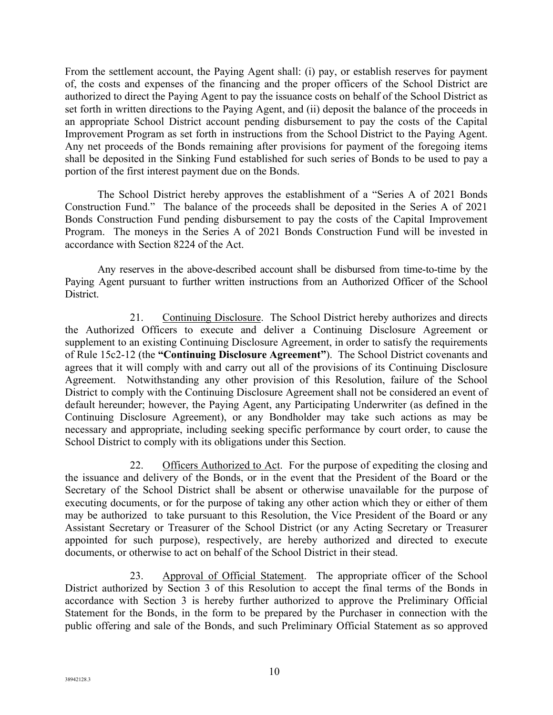From the settlement account, the Paying Agent shall: (i) pay, or establish reserves for payment of, the costs and expenses of the financing and the proper officers of the School District are authorized to direct the Paying Agent to pay the issuance costs on behalf of the School District as set forth in written directions to the Paying Agent, and (ii) deposit the balance of the proceeds in an appropriate School District account pending disbursement to pay the costs of the Capital Improvement Program as set forth in instructions from the School District to the Paying Agent. Any net proceeds of the Bonds remaining after provisions for payment of the foregoing items shall be deposited in the Sinking Fund established for such series of Bonds to be used to pay a portion of the first interest payment due on the Bonds.

The School District hereby approves the establishment of a "Series A of 2021 Bonds Construction Fund." The balance of the proceeds shall be deposited in the Series A of 2021 Bonds Construction Fund pending disbursement to pay the costs of the Capital Improvement Program. The moneys in the Series A of 2021 Bonds Construction Fund will be invested in accordance with Section 8224 of the Act.

 Any reserves in the above-described account shall be disbursed from time-to-time by the Paying Agent pursuant to further written instructions from an Authorized Officer of the School District.

21. Continuing Disclosure. The School District hereby authorizes and directs the Authorized Officers to execute and deliver a Continuing Disclosure Agreement or supplement to an existing Continuing Disclosure Agreement, in order to satisfy the requirements of Rule 15c2-12 (the **"Continuing Disclosure Agreement"**). The School District covenants and agrees that it will comply with and carry out all of the provisions of its Continuing Disclosure Agreement. Notwithstanding any other provision of this Resolution, failure of the School District to comply with the Continuing Disclosure Agreement shall not be considered an event of default hereunder; however, the Paying Agent, any Participating Underwriter (as defined in the Continuing Disclosure Agreement), or any Bondholder may take such actions as may be necessary and appropriate, including seeking specific performance by court order, to cause the School District to comply with its obligations under this Section.

22. Officers Authorized to Act. For the purpose of expediting the closing and the issuance and delivery of the Bonds, or in the event that the President of the Board or the Secretary of the School District shall be absent or otherwise unavailable for the purpose of executing documents, or for the purpose of taking any other action which they or either of them may be authorized to take pursuant to this Resolution, the Vice President of the Board or any Assistant Secretary or Treasurer of the School District (or any Acting Secretary or Treasurer appointed for such purpose), respectively, are hereby authorized and directed to execute documents, or otherwise to act on behalf of the School District in their stead.

23. Approval of Official Statement. The appropriate officer of the School District authorized by Section 3 of this Resolution to accept the final terms of the Bonds in accordance with Section 3 is hereby further authorized to approve the Preliminary Official Statement for the Bonds, in the form to be prepared by the Purchaser in connection with the public offering and sale of the Bonds, and such Preliminary Official Statement as so approved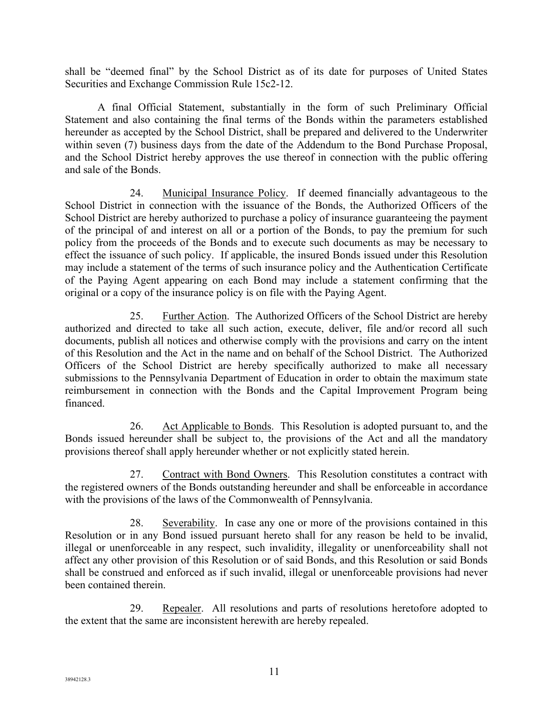shall be "deemed final" by the School District as of its date for purposes of United States Securities and Exchange Commission Rule 15c2-12.

A final Official Statement, substantially in the form of such Preliminary Official Statement and also containing the final terms of the Bonds within the parameters established hereunder as accepted by the School District, shall be prepared and delivered to the Underwriter within seven (7) business days from the date of the Addendum to the Bond Purchase Proposal, and the School District hereby approves the use thereof in connection with the public offering and sale of the Bonds.

24. Municipal Insurance Policy. If deemed financially advantageous to the School District in connection with the issuance of the Bonds, the Authorized Officers of the School District are hereby authorized to purchase a policy of insurance guaranteeing the payment of the principal of and interest on all or a portion of the Bonds, to pay the premium for such policy from the proceeds of the Bonds and to execute such documents as may be necessary to effect the issuance of such policy. If applicable, the insured Bonds issued under this Resolution may include a statement of the terms of such insurance policy and the Authentication Certificate of the Paying Agent appearing on each Bond may include a statement confirming that the original or a copy of the insurance policy is on file with the Paying Agent.

25. Further Action. The Authorized Officers of the School District are hereby authorized and directed to take all such action, execute, deliver, file and/or record all such documents, publish all notices and otherwise comply with the provisions and carry on the intent of this Resolution and the Act in the name and on behalf of the School District. The Authorized Officers of the School District are hereby specifically authorized to make all necessary submissions to the Pennsylvania Department of Education in order to obtain the maximum state reimbursement in connection with the Bonds and the Capital Improvement Program being financed.

26. Act Applicable to Bonds. This Resolution is adopted pursuant to, and the Bonds issued hereunder shall be subject to, the provisions of the Act and all the mandatory provisions thereof shall apply hereunder whether or not explicitly stated herein.

27. Contract with Bond Owners. This Resolution constitutes a contract with the registered owners of the Bonds outstanding hereunder and shall be enforceable in accordance with the provisions of the laws of the Commonwealth of Pennsylvania.

28. Severability. In case any one or more of the provisions contained in this Resolution or in any Bond issued pursuant hereto shall for any reason be held to be invalid, illegal or unenforceable in any respect, such invalidity, illegality or unenforceability shall not affect any other provision of this Resolution or of said Bonds, and this Resolution or said Bonds shall be construed and enforced as if such invalid, illegal or unenforceable provisions had never been contained therein.

29. Repealer. All resolutions and parts of resolutions heretofore adopted to the extent that the same are inconsistent herewith are hereby repealed.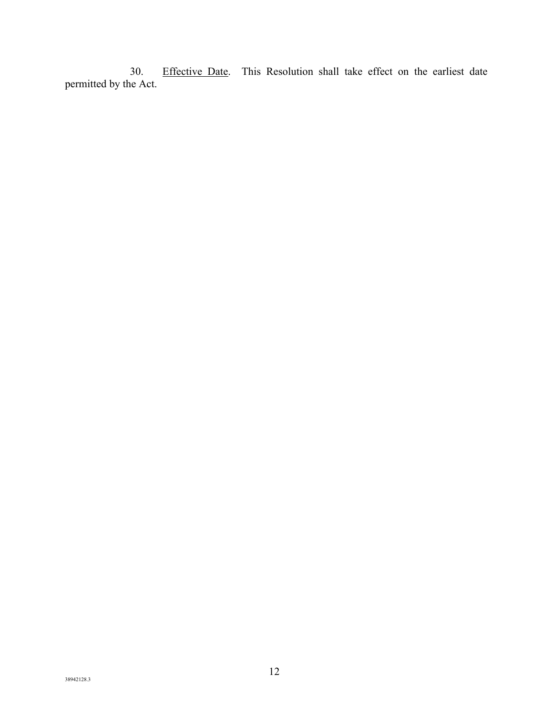30. Effective Date. This Resolution shall take effect on the earliest date permitted by the Act.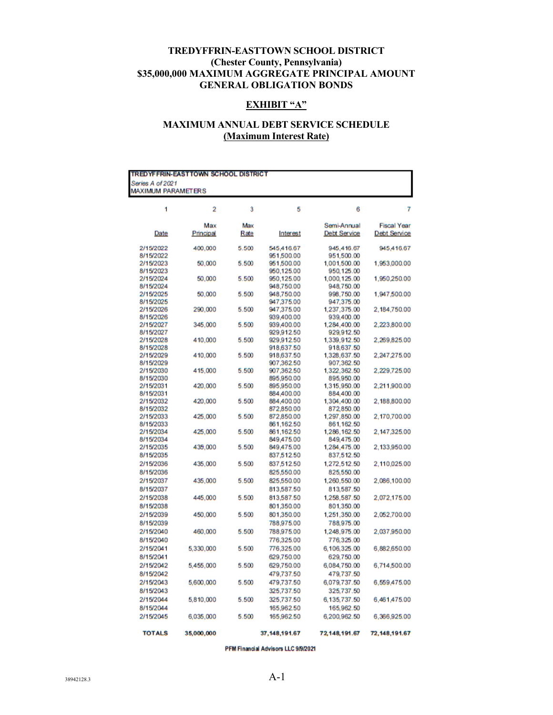#### **TREDYFFRIN-EASTTOWN SCHOOL DISTRICT (Chester County, Pennsylvania) \$35,000,000 MAXIMUM AGGREGATE PRINCIPAL AMOUNT GENERAL OBLIGATION BONDS**

## **EXHIBIT "A"**

# **MAXIMUM ANNUAL DEBT SERVICE SCHEDULE (Maximum Interest Rate)**

| TREDYFFRIN-EASTTOWN SCHOOL DISTRICT |            |       |                 |                     |                     |  |  |  |
|-------------------------------------|------------|-------|-----------------|---------------------|---------------------|--|--|--|
| Series A of 2021                    |            |       |                 |                     |                     |  |  |  |
| <b>MAXIMUM PARAMETERS</b>           |            |       |                 |                     |                     |  |  |  |
|                                     |            |       |                 |                     |                     |  |  |  |
| 1                                   | 2          | 3     | 5               | 6                   | 7                   |  |  |  |
|                                     |            |       |                 |                     |                     |  |  |  |
|                                     | Max        | Max   |                 | Semi-Annual         | <b>Fiscal Year</b>  |  |  |  |
| Date                                | Principal  | Rate  | Interest        | <b>Debt Service</b> | <b>Debt Service</b> |  |  |  |
| 2/15/2022                           | 400,000    | 5.500 | 545,416.67      | 945,416.67          | 945,416.67          |  |  |  |
| 8/15/2022                           |            |       | 951,500.00      | 951,500.00          |                     |  |  |  |
| 2/15/2023                           | 50,000     | 5.500 | 951,500.00      | 1,001,500.00        | 1,953,000.00        |  |  |  |
| 8/15/2023                           |            |       | 950,125.00      | 950,125.00          |                     |  |  |  |
| 2/15/2024                           | 50,000     | 5.500 | 950,125.00      | 1,000,125.00        | 1,950,250.00        |  |  |  |
| 8/15/2024                           |            |       | 948,750.00      | 948,750.00          |                     |  |  |  |
| 2/15/2025                           | 50,000     | 5.500 | 948,750.00      | 998,750.00          | 1,947,500.00        |  |  |  |
| 8/15/2025                           |            |       | 947,375.00      | 947,375.00          |                     |  |  |  |
| 2/15/2026                           | 290,000    | 5.500 | 947,375.00      | 1,237,375.00        | 2,184,750.00        |  |  |  |
| 8/15/2026                           |            |       | 939,400.00      | 939,400.00          |                     |  |  |  |
| 2/15/2027                           | 345,000    | 5.500 | 939,400.00      | 1,284,400.00        | 2,223,800.00        |  |  |  |
| 8/15/2027                           |            |       | 929,912.50      | 929,912.50          |                     |  |  |  |
| 2/15/2028                           | 410,000    | 5.500 | 929,912.50      | 1,339,912.50        | 2,269,825.00        |  |  |  |
| 8/15/2028                           |            |       | 918,637.50      | 918,637.50          |                     |  |  |  |
| 2/15/2029                           | 410,000    | 5.500 | 918,637.50      | 1,328,637.50        | 2,247,275.00        |  |  |  |
| 8/15/2029                           |            |       | 907,362.50      | 907,362.50          |                     |  |  |  |
| 2/15/2030                           | 415,000    | 5.500 | 907,362.50      | 1,322,362.50        | 2,229,725.00        |  |  |  |
| 8/15/2030                           |            |       | 895,950.00      | 895,950.00          |                     |  |  |  |
| 2/15/2031                           | 420,000    | 5.500 | 895,950.00      | 1,315,950.00        | 2,211,900.00        |  |  |  |
| 8/15/2031                           |            |       | 884,400.00      | 884,400.00          |                     |  |  |  |
| 2/15/2032                           | 420,000    | 5.500 | 884,400.00      | 1,304,400.00        | 2,188,800.00        |  |  |  |
| 8/15/2032                           |            |       | 872,850.00      | 872,850.00          |                     |  |  |  |
| 2/15/2033                           | 425,000    | 5.500 | 872,850.00      | 1,297,850.00        | 2,170,700.00        |  |  |  |
| 8/15/2033                           |            |       | 861,162.50      | 861,162.50          |                     |  |  |  |
| 2/15/2034                           | 425,000    | 5.500 | 861,162.50      | 1,286,162.50        | 2, 147, 325.00      |  |  |  |
| 8/15/2034                           |            |       | 849,475.00      | 849,475.00          |                     |  |  |  |
| 2/15/2035                           | 435,000    | 5.500 | 849,475.00      | 1,284,475.00        | 2,133,950.00        |  |  |  |
| 8/15/2035                           |            |       | 837,512.50      | 837,512.50          |                     |  |  |  |
| 2/15/2036                           | 435,000    | 5.500 | 837,512.50      | 1,272,512.50        | 2,110,025.00        |  |  |  |
| 8/15/2036                           |            |       | 825,550.00      | 825,550.00          |                     |  |  |  |
| 2/15/2037                           | 435,000    | 5.500 | 825,550.00      | 1,260,550.00        | 2,086,100.00        |  |  |  |
| 8/15/2037                           |            |       | 813,587.50      | 813,587.50          |                     |  |  |  |
| 2/15/2038                           | 445,000    | 5.500 | 813,587.50      | 1,258,587.50        | 2,072,175.00        |  |  |  |
| 8/15/2038                           |            |       | 801,350.00      | 801,350.00          |                     |  |  |  |
| 2/15/2039                           | 450,000    | 5.500 | 801,350.00      | 1,251,350.00        | 2,052,700.00        |  |  |  |
| 8/15/2039                           |            |       | 788,975.00      | 788,975.00          |                     |  |  |  |
| 2/15/2040                           | 460,000    | 5.500 | 788,975.00      | 1,248,975.00        | 2,037,950.00        |  |  |  |
| 8/15/2040                           |            |       |                 | 776,325.00          |                     |  |  |  |
|                                     |            |       | 776,325.00      |                     |                     |  |  |  |
| 2/15/2041                           | 5,330,000  | 5.500 | 776,325.00      | 6,106,325.00        | 6,882,650.00        |  |  |  |
| 8/15/2041                           |            |       | 629,750.00      | 629,750.00          |                     |  |  |  |
| 2/15/2042                           | 5,455,000  | 5.500 | 629,750.00      | 6,084,750.00        | 6,714,500.00        |  |  |  |
| 8/15/2042                           |            |       | 479,737.50      | 479,737.50          |                     |  |  |  |
| 2/15/2043                           | 5,600,000  | 5.500 | 479,737.50      | 6,079,737.50        | 6,559,475.00        |  |  |  |
| 8/15/2043                           |            |       | 325,737.50      | 325,737.50          |                     |  |  |  |
| 2/15/2044                           | 5,810,000  | 5.500 | 325,737.50      | 6,135,737.50        | 6,461,475.00        |  |  |  |
| 8/15/2044                           |            |       | 165,962.50      | 165,962.50          |                     |  |  |  |
| 2/15/2045                           | 6,035,000  | 5.500 | 165,962.50      | 6,200,962.50        | 6,366,925.00        |  |  |  |
|                                     |            |       |                 |                     |                     |  |  |  |
| <b>TOTALS</b>                       | 35,000,000 |       | 37, 148, 191.67 | 72,148,191.67       | 72,148,191.67       |  |  |  |
|                                     |            |       |                 |                     |                     |  |  |  |

PFM Financial Advisors LLC 9/9/2021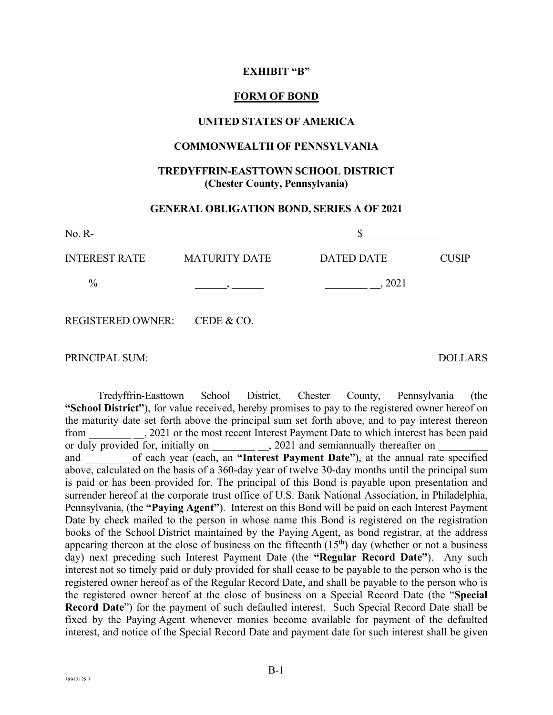### **EXHIBIT "B"**

### **FORM OF BOND**

#### **UNITED STATES OF AMERICA**

#### **COMMONWEALTH OF PENNSYLVANIA**

## **TREDYFFRIN-EASTTOWN SCHOOL DISTRICT (Chester County, Pennsylvania)**

## **GENERAL OBLIGATION BOND, SERIES A OF 2021**

| $No. R-$                     |                      |                   |              |
|------------------------------|----------------------|-------------------|--------------|
| <b>INTEREST RATE</b>         | <b>MATURITY DATE</b> | <b>DATED DATE</b> | <b>CUSIP</b> |
| $\%$                         |                      | 2021              |              |
| REGISTERED OWNER: CEDE & CO. |                      |                   |              |

PRINCIPAL SUM: DOLLARS

 Tredyffrin-Easttown School District, Chester County, Pennsylvania (the **"School District"**), for value received, hereby promises to pay to the registered owner hereof on the maturity date set forth above the principal sum set forth above, and to pay interest thereon from 2021 or the most recent Interest Payment Date to which interest has been paid or duly provided for, initially on \_\_\_\_\_\_\_\_\_\_\_, 2021 and semiannually thereafter on and of each year (each, an **"Interest Payment Date"**), at the annual rate specified above, calculated on the basis of a 360-day year of twelve 30-day months until the principal sum is paid or has been provided for. The principal of this Bond is payable upon presentation and surrender hereof at the corporate trust office of U.S. Bank National Association, in Philadelphia, Pennsylvania, (the **"Paying Agent"**). Interest on this Bond will be paid on each Interest Payment Date by check mailed to the person in whose name this Bond is registered on the registration books of the School District maintained by the Paying Agent, as bond registrar, at the address appearing thereon at the close of business on the fifteenth  $(15<sup>th</sup>)$  day (whether or not a business day) next preceding such Interest Payment Date (the **"Regular Record Date"**). Any such interest not so timely paid or duly provided for shall cease to be payable to the person who is the registered owner hereof as of the Regular Record Date, and shall be payable to the person who is the registered owner hereof at the close of business on a Special Record Date (the "**Special Record Date**") for the payment of such defaulted interest. Such Special Record Date shall be fixed by the Paying Agent whenever monies become available for payment of the defaulted interest, and notice of the Special Record Date and payment date for such interest shall be given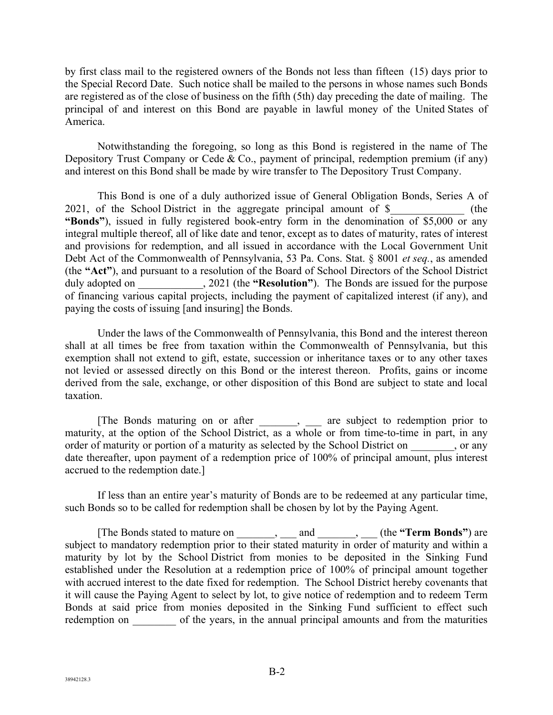by first class mail to the registered owners of the Bonds not less than fifteen (15) days prior to the Special Record Date. Such notice shall be mailed to the persons in whose names such Bonds are registered as of the close of business on the fifth (5th) day preceding the date of mailing. The principal of and interest on this Bond are payable in lawful money of the United States of America.

 Notwithstanding the foregoing, so long as this Bond is registered in the name of The Depository Trust Company or Cede & Co., payment of principal, redemption premium (if any) and interest on this Bond shall be made by wire transfer to The Depository Trust Company.

 This Bond is one of a duly authorized issue of General Obligation Bonds, Series A of 2021, of the School District in the aggregate principal amount of  $\$  (the **"Bonds"**), issued in fully registered book-entry form in the denomination of \$5,000 or any integral multiple thereof, all of like date and tenor, except as to dates of maturity, rates of interest and provisions for redemption, and all issued in accordance with the Local Government Unit Debt Act of the Commonwealth of Pennsylvania, 53 Pa. Cons. Stat. § 8001 *et seq.*, as amended (the **"Act"**), and pursuant to a resolution of the Board of School Directors of the School District duly adopted on  $\qquad \qquad$ , 2021 (the "Resolution"). The Bonds are issued for the purpose of financing various capital projects, including the payment of capitalized interest (if any), and paying the costs of issuing [and insuring] the Bonds.

 Under the laws of the Commonwealth of Pennsylvania, this Bond and the interest thereon shall at all times be free from taxation within the Commonwealth of Pennsylvania, but this exemption shall not extend to gift, estate, succession or inheritance taxes or to any other taxes not levied or assessed directly on this Bond or the interest thereon. Profits, gains or income derived from the sale, exchange, or other disposition of this Bond are subject to state and local taxation.

 [The Bonds maturing on or after \_\_\_\_\_\_\_, \_\_\_ are subject to redemption prior to maturity, at the option of the School District, as a whole or from time-to-time in part, in any order of maturity or portion of a maturity as selected by the School District on \_\_\_\_\_\_\_\_, or any date thereafter, upon payment of a redemption price of 100% of principal amount, plus interest accrued to the redemption date.]

 If less than an entire year's maturity of Bonds are to be redeemed at any particular time, such Bonds so to be called for redemption shall be chosen by lot by the Paying Agent.

 [The Bonds stated to mature on \_\_\_\_\_\_\_, \_\_\_ and \_\_\_\_\_\_\_, \_\_\_ (the **"Term Bonds"**) are subject to mandatory redemption prior to their stated maturity in order of maturity and within a maturity by lot by the School District from monies to be deposited in the Sinking Fund established under the Resolution at a redemption price of 100% of principal amount together with accrued interest to the date fixed for redemption. The School District hereby covenants that it will cause the Paying Agent to select by lot, to give notice of redemption and to redeem Term Bonds at said price from monies deposited in the Sinking Fund sufficient to effect such redemption on of the years, in the annual principal amounts and from the maturities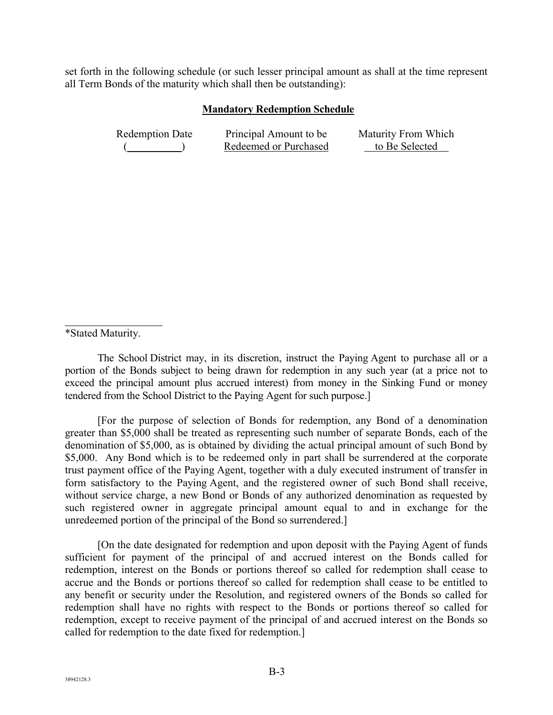set forth in the following schedule (or such lesser principal amount as shall at the time represent all Term Bonds of the maturity which shall then be outstanding):

## **Mandatory Redemption Schedule**

| <b>Redemption Date</b> | Principal Amount to be | Maturity From Which |
|------------------------|------------------------|---------------------|
|                        | Redeemed or Purchased  | to Be Selected      |

\*Stated Maturity.

 $\overline{a}$ 

 The School District may, in its discretion, instruct the Paying Agent to purchase all or a portion of the Bonds subject to being drawn for redemption in any such year (at a price not to exceed the principal amount plus accrued interest) from money in the Sinking Fund or money tendered from the School District to the Paying Agent for such purpose.]

 [For the purpose of selection of Bonds for redemption, any Bond of a denomination greater than \$5,000 shall be treated as representing such number of separate Bonds, each of the denomination of \$5,000, as is obtained by dividing the actual principal amount of such Bond by \$5,000. Any Bond which is to be redeemed only in part shall be surrendered at the corporate trust payment office of the Paying Agent, together with a duly executed instrument of transfer in form satisfactory to the Paying Agent, and the registered owner of such Bond shall receive, without service charge, a new Bond or Bonds of any authorized denomination as requested by such registered owner in aggregate principal amount equal to and in exchange for the unredeemed portion of the principal of the Bond so surrendered.]

 [On the date designated for redemption and upon deposit with the Paying Agent of funds sufficient for payment of the principal of and accrued interest on the Bonds called for redemption, interest on the Bonds or portions thereof so called for redemption shall cease to accrue and the Bonds or portions thereof so called for redemption shall cease to be entitled to any benefit or security under the Resolution, and registered owners of the Bonds so called for redemption shall have no rights with respect to the Bonds or portions thereof so called for redemption, except to receive payment of the principal of and accrued interest on the Bonds so called for redemption to the date fixed for redemption.]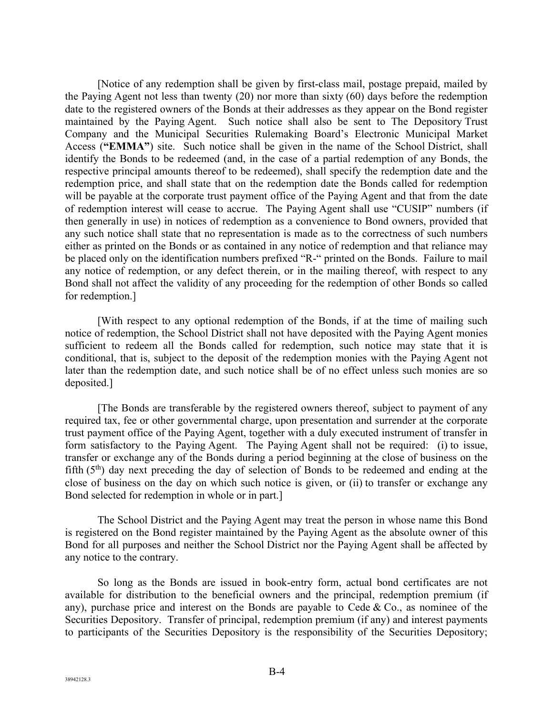[Notice of any redemption shall be given by first-class mail, postage prepaid, mailed by the Paying Agent not less than twenty (20) nor more than sixty (60) days before the redemption date to the registered owners of the Bonds at their addresses as they appear on the Bond register maintained by the Paying Agent. Such notice shall also be sent to The Depository Trust Company and the Municipal Securities Rulemaking Board's Electronic Municipal Market Access (**"EMMA"**) site. Such notice shall be given in the name of the School District, shall identify the Bonds to be redeemed (and, in the case of a partial redemption of any Bonds, the respective principal amounts thereof to be redeemed), shall specify the redemption date and the redemption price, and shall state that on the redemption date the Bonds called for redemption will be payable at the corporate trust payment office of the Paying Agent and that from the date of redemption interest will cease to accrue. The Paying Agent shall use "CUSIP" numbers (if then generally in use) in notices of redemption as a convenience to Bond owners, provided that any such notice shall state that no representation is made as to the correctness of such numbers either as printed on the Bonds or as contained in any notice of redemption and that reliance may be placed only on the identification numbers prefixed "R-" printed on the Bonds. Failure to mail any notice of redemption, or any defect therein, or in the mailing thereof, with respect to any Bond shall not affect the validity of any proceeding for the redemption of other Bonds so called for redemption.]

 [With respect to any optional redemption of the Bonds, if at the time of mailing such notice of redemption, the School District shall not have deposited with the Paying Agent monies sufficient to redeem all the Bonds called for redemption, such notice may state that it is conditional, that is, subject to the deposit of the redemption monies with the Paying Agent not later than the redemption date, and such notice shall be of no effect unless such monies are so deposited.]

 [The Bonds are transferable by the registered owners thereof, subject to payment of any required tax, fee or other governmental charge, upon presentation and surrender at the corporate trust payment office of the Paying Agent, together with a duly executed instrument of transfer in form satisfactory to the Paying Agent. The Paying Agent shall not be required: (i) to issue, transfer or exchange any of the Bonds during a period beginning at the close of business on the fifth  $(5<sup>th</sup>)$  day next preceding the day of selection of Bonds to be redeemed and ending at the close of business on the day on which such notice is given, or (ii) to transfer or exchange any Bond selected for redemption in whole or in part.]

 The School District and the Paying Agent may treat the person in whose name this Bond is registered on the Bond register maintained by the Paying Agent as the absolute owner of this Bond for all purposes and neither the School District nor the Paying Agent shall be affected by any notice to the contrary.

So long as the Bonds are issued in book-entry form, actual bond certificates are not available for distribution to the beneficial owners and the principal, redemption premium (if any), purchase price and interest on the Bonds are payable to Cede  $\&$  Co., as nominee of the Securities Depository. Transfer of principal, redemption premium (if any) and interest payments to participants of the Securities Depository is the responsibility of the Securities Depository;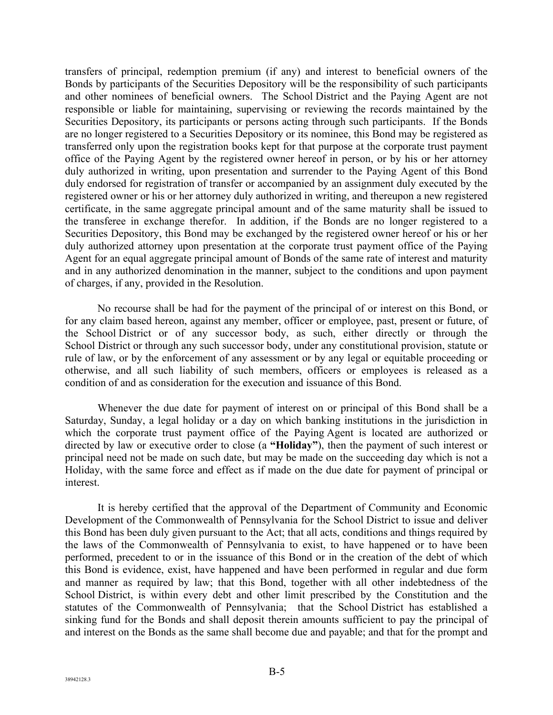transfers of principal, redemption premium (if any) and interest to beneficial owners of the Bonds by participants of the Securities Depository will be the responsibility of such participants and other nominees of beneficial owners. The School District and the Paying Agent are not responsible or liable for maintaining, supervising or reviewing the records maintained by the Securities Depository, its participants or persons acting through such participants. If the Bonds are no longer registered to a Securities Depository or its nominee, this Bond may be registered as transferred only upon the registration books kept for that purpose at the corporate trust payment office of the Paying Agent by the registered owner hereof in person, or by his or her attorney duly authorized in writing, upon presentation and surrender to the Paying Agent of this Bond duly endorsed for registration of transfer or accompanied by an assignment duly executed by the registered owner or his or her attorney duly authorized in writing, and thereupon a new registered certificate, in the same aggregate principal amount and of the same maturity shall be issued to the transferee in exchange therefor. In addition, if the Bonds are no longer registered to a Securities Depository, this Bond may be exchanged by the registered owner hereof or his or her duly authorized attorney upon presentation at the corporate trust payment office of the Paying Agent for an equal aggregate principal amount of Bonds of the same rate of interest and maturity and in any authorized denomination in the manner, subject to the conditions and upon payment of charges, if any, provided in the Resolution.

 No recourse shall be had for the payment of the principal of or interest on this Bond, or for any claim based hereon, against any member, officer or employee, past, present or future, of the School District or of any successor body, as such, either directly or through the School District or through any such successor body, under any constitutional provision, statute or rule of law, or by the enforcement of any assessment or by any legal or equitable proceeding or otherwise, and all such liability of such members, officers or employees is released as a condition of and as consideration for the execution and issuance of this Bond.

 Whenever the due date for payment of interest on or principal of this Bond shall be a Saturday, Sunday, a legal holiday or a day on which banking institutions in the jurisdiction in which the corporate trust payment office of the Paying Agent is located are authorized or directed by law or executive order to close (a **"Holiday"**), then the payment of such interest or principal need not be made on such date, but may be made on the succeeding day which is not a Holiday, with the same force and effect as if made on the due date for payment of principal or interest.

 It is hereby certified that the approval of the Department of Community and Economic Development of the Commonwealth of Pennsylvania for the School District to issue and deliver this Bond has been duly given pursuant to the Act; that all acts, conditions and things required by the laws of the Commonwealth of Pennsylvania to exist, to have happened or to have been performed, precedent to or in the issuance of this Bond or in the creation of the debt of which this Bond is evidence, exist, have happened and have been performed in regular and due form and manner as required by law; that this Bond, together with all other indebtedness of the School District, is within every debt and other limit prescribed by the Constitution and the statutes of the Commonwealth of Pennsylvania; that the School District has established a sinking fund for the Bonds and shall deposit therein amounts sufficient to pay the principal of and interest on the Bonds as the same shall become due and payable; and that for the prompt and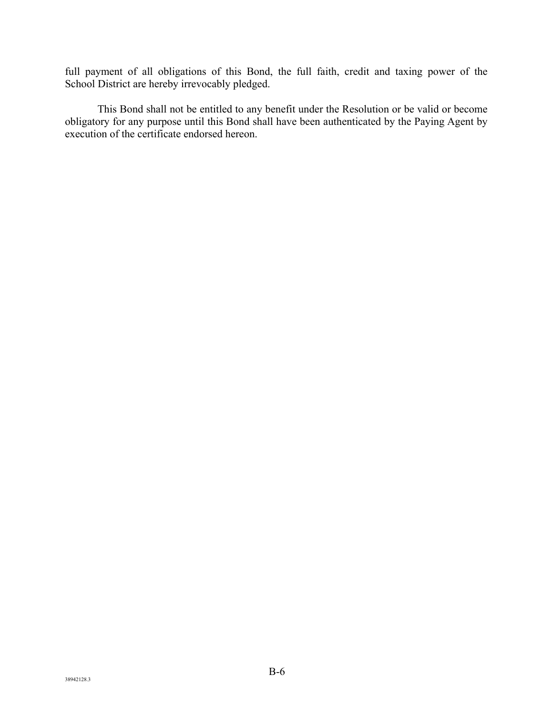full payment of all obligations of this Bond, the full faith, credit and taxing power of the School District are hereby irrevocably pledged.

 This Bond shall not be entitled to any benefit under the Resolution or be valid or become obligatory for any purpose until this Bond shall have been authenticated by the Paying Agent by execution of the certificate endorsed hereon.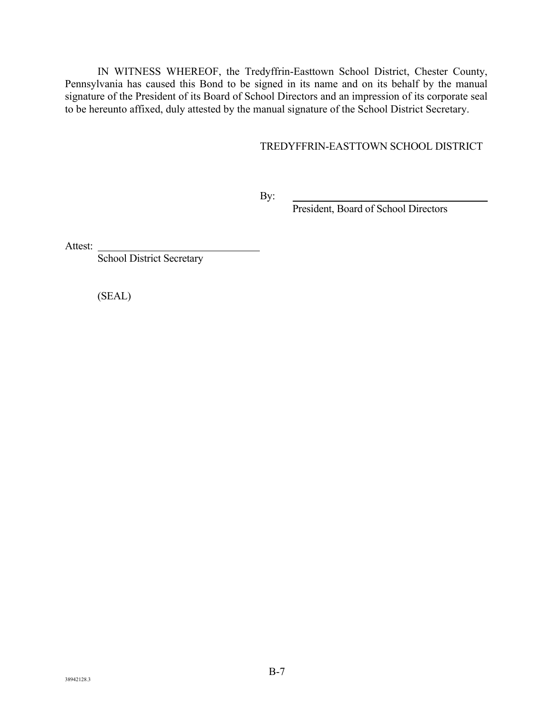IN WITNESS WHEREOF, the Tredyffrin-Easttown School District, Chester County, Pennsylvania has caused this Bond to be signed in its name and on its behalf by the manual signature of the President of its Board of School Directors and an impression of its corporate seal to be hereunto affixed, duly attested by the manual signature of the School District Secretary.

# TREDYFFRIN-EASTTOWN SCHOOL DISTRICT

By:

President, Board of School Directors

Attest:

School District Secretary

(SEAL)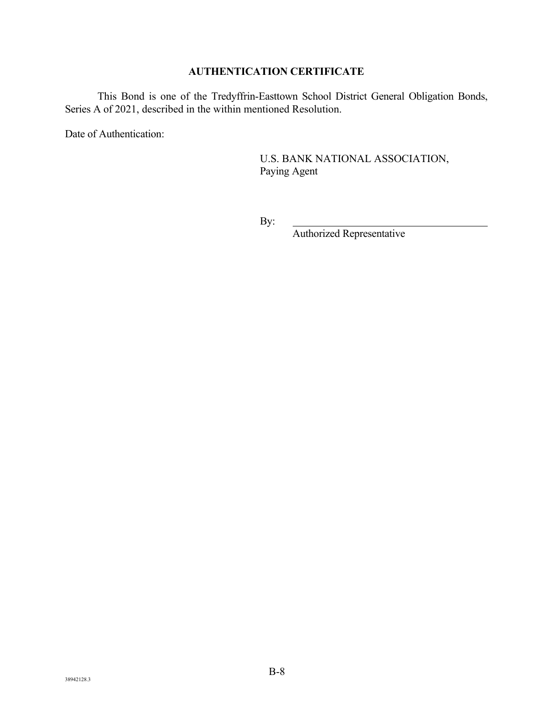# **AUTHENTICATION CERTIFICATE**

 This Bond is one of the Tredyffrin-Easttown School District General Obligation Bonds, Series A of 2021, described in the within mentioned Resolution.

Date of Authentication:

U.S. BANK NATIONAL ASSOCIATION, Paying Agent

By:

Authorized Representative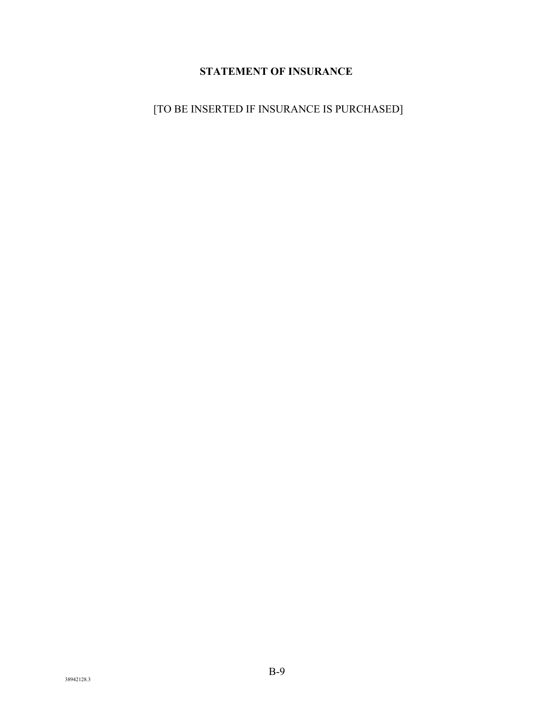# **STATEMENT OF INSURANCE**

[TO BE INSERTED IF INSURANCE IS PURCHASED]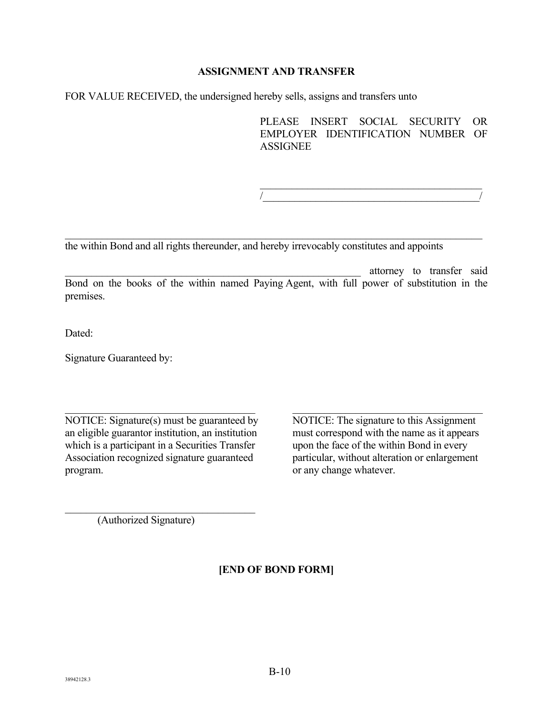## **ASSIGNMENT AND TRANSFER**

FOR VALUE RECEIVED, the undersigned hereby sells, assigns and transfers unto

PLEASE INSERT SOCIAL SECURITY OR EMPLOYER IDENTIFICATION NUMBER OF **ASSIGNEE** 

 $/$ 

the within Bond and all rights thereunder, and hereby irrevocably constitutes and appoints

\_\_\_\_\_\_\_\_\_\_\_\_\_\_\_\_\_\_\_\_\_\_\_\_\_\_\_\_\_\_\_\_\_\_\_\_\_\_\_\_\_\_\_\_\_\_\_\_\_\_\_\_\_\_\_\_ attorney to transfer said Bond on the books of the within named Paying Agent, with full power of substitution in the premises.

Dated:

Signature Guaranteed by:

NOTICE: Signature(s) must be guaranteed by NOTICE: The signature to this Assignment an eligible guarantor institution, an institution must correspond with the name as it appears which is a participant in a Securities Transfer upon the face of the within Bond in every Association recognized signature guaranteed particular, without alteration or enlargement program. **b** any change whatever.

(Authorized Signature)

**[END OF BOND FORM]**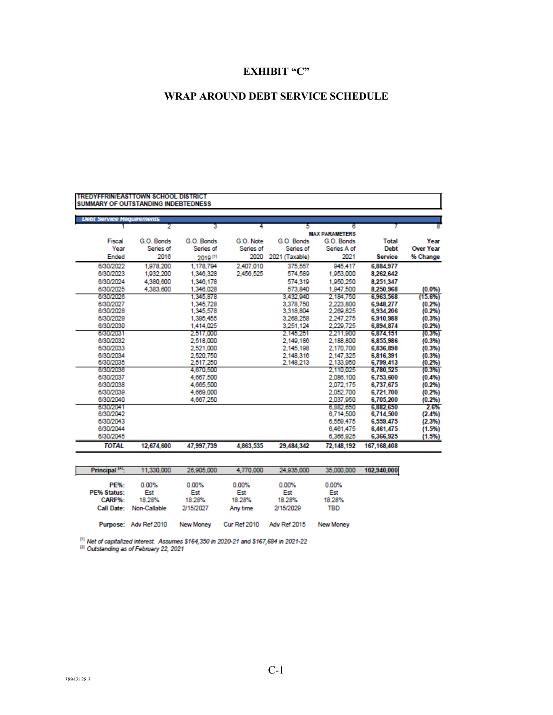# **EXHIBIT "C"**

# **WRAP AROUND DEBT SERVICE SCHEDULE**

| <b>TREDYFFRINIEAST TOWN SCHOOL DISTRICT</b><br><b>SUMMARY OF OUTSTANDING INDEBTEDNESS</b> |            |            |           |                |                       |                |                  |
|-------------------------------------------------------------------------------------------|------------|------------|-----------|----------------|-----------------------|----------------|------------------|
|                                                                                           |            |            |           |                |                       |                |                  |
| <b>Debt Service Requirements</b>                                                          |            |            | 4         |                | 6                     |                |                  |
|                                                                                           |            |            |           |                | <b>MAX PARAMETERS</b> |                |                  |
| Fiscal                                                                                    | G.O. Bonds | G.O. Bonds | G.O. Note | G.O. Bonds     | G.O. Bonds            | <b>Total</b>   | Year             |
| Year                                                                                      | Series of  | Series of  | Series of | Series of      | Series A of           | <b>Debt</b>    | <b>Over Year</b> |
| <b>Ended</b>                                                                              | 2016       |            | 2020      | 2021 (Taxable) | 2021                  | <b>Service</b> | % Change         |
|                                                                                           |            | 2019 [1]   |           |                |                       |                |                  |
| 6/30/2022                                                                                 | 1,978,200  | 1.178.794  | 2.407.010 | 375,557        | 945.417               | 6.884.977      |                  |
| 6/30/2023                                                                                 | 1,932,200  | 1.346.328  | 2.456.525 | 574.589        | 1.953.000             | 8,262,642      |                  |
| 6/30/2024                                                                                 | 4,380,600  | 1.346.178  |           | 574,319        | 1.950.250             | 8.251.347      |                  |
| 6/30/2025                                                                                 | 4,383,600  | 1.346.028  |           | 573,840        | 1.947.500             | 8.250.968      | (0.0%            |
| 6/30/2026                                                                                 |            | 1.345.878  |           | 3.432.940      | 2.184.750             | 6,963,568      | (15.6%)          |
| 6/30/2027                                                                                 |            | 1.345.728  |           | 3.378.750      | 2 223 800             | 6.948.277      | (0.2%)           |
| 6/30/2028                                                                                 |            | 1.345.578  |           | 3.318.804      | 2.269.825             | 6,934,206      | (0.2%)           |
| 6/30/2029                                                                                 |            | 1.395.455  |           | 3.268.258      | 2.247.275             | 6,910,988      | (0.3%)           |
| 6/30/2030                                                                                 |            | 1.414.025  |           | 3.251.124      | 2,229,725             | 6.894.874      | (0.2%)           |
| 6/30/2031                                                                                 |            | 2,517,000  |           | 2.145.251      | 2.211.900             | 6,874,151      | (0.3% )          |
| 6/30/2032                                                                                 |            | 2.518.000  |           | 2.149.186      | 2.188.800             | 6,855,986      | (0.3%)           |
| 6/30/2033                                                                                 |            | 2.521.000  |           | 2.145.198      | 2.170.700             | 6,836,898      | (0.3%)           |
| 6/30/2034                                                                                 |            | 2,520,750  |           | 2.148.316      | 2.147.325             | 6,816,391      | (0.3%)           |
| 6/30/2035                                                                                 |            | 2,517,250  |           | 2.148.213      | 2.133,950             | 6,799,413      | (0.2%)           |
| 6/30/2036                                                                                 |            | 4.670.500  |           |                | 2.110.025             | 6.780.525      | (0.3% )          |
| 6/30/2037                                                                                 |            | 4.667.500  |           |                | 2.086.100             | 6.753.600      | (0.4%            |
| 6/30/2038                                                                                 |            | 4,665,500  |           |                | 2.072.175             | 6.737.675      | (0.2%)           |
| 6/30/2039                                                                                 |            | 4.669.000  |           |                | 2.052.700             | 6.721,700      | (0.2%)           |
| 6/30/2040                                                                                 |            | 4.667.250  |           |                | 2.037.950             | 6.705.200      | (0.2%)           |
| 6/30/2041                                                                                 |            |            |           |                | 6,882,650             | 6.882.650      | 2.6%             |
| 6/30/2042                                                                                 |            |            |           |                | 6.714.500             | 6.714,500      | (2.4%)           |
| 6/30/2043                                                                                 |            |            |           |                | 6.550.475             | 6,559,475      | (2.3%)           |
| 6/30/2044                                                                                 |            |            |           |                | 6.461.475             | 6,461,475      | (1.5%)           |
| 6/30/2045                                                                                 |            |            |           |                | 6,366,925             | 6.366.925      | (1.5%)           |
| <b>TOTAL</b>                                                                              | 12,674,600 | 47.997.739 | 4,863,535 | 29.484.342     | 72.148.192            | 167.168.408    |                  |

| Principal <sup>141</sup> : | 11.330.000   | 26,905,000 | 4.770.000 | 24.935.000 | 35,000,000 |  |
|----------------------------|--------------|------------|-----------|------------|------------|--|
| <b>PE%:</b>                | $0.00\%$     | 0.00%      | $0.00\%$  | $0.00\%$   | 0.00%      |  |
| PE% Status:                | Est          | Est        | Est       | Est        | Est        |  |
| CARF%:                     | 18.28%       | 18.28%     | 18.28%    | 18.28%     | 18.28%     |  |
| Call Date:                 | Non-Callable | 2/15/2027  | Any time  | 2/15/2029  | TBD        |  |

Purpose: Adv Ref 2010 New Money Cur Ref 2010 Adv Ref 2015 New Money

 $^{111}$  Net of capitalized interest. Assumes \$164,350 in 2020-21 and \$167,684 in 2021-22<br> $^{121}$  Outstanding as of February 22, 2021